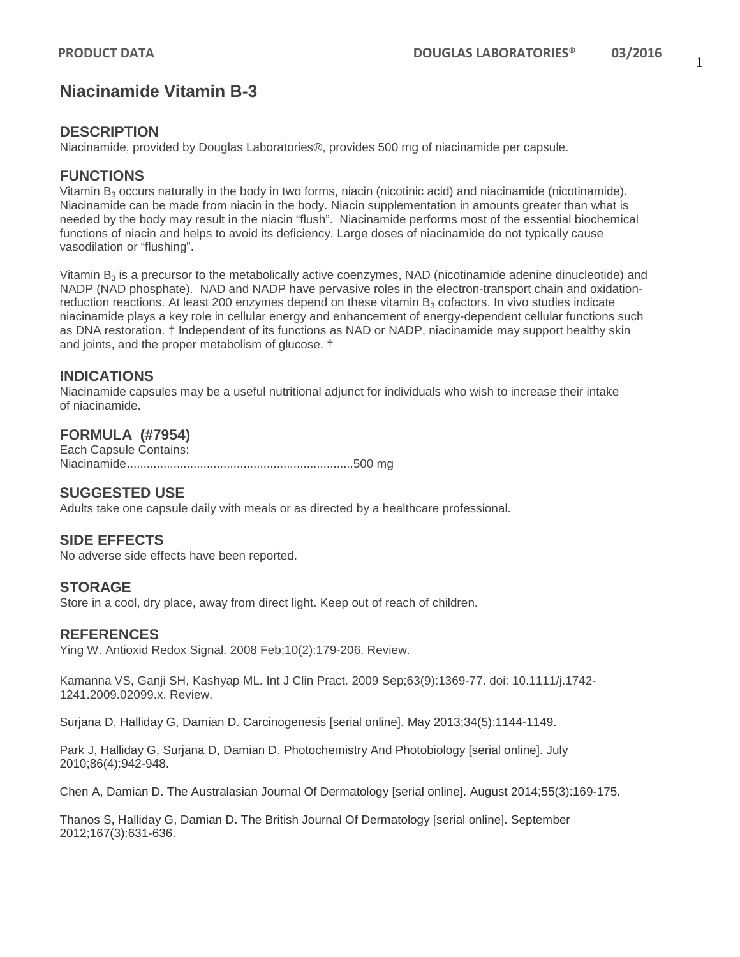# **Niacinamide Vitamin B-3**

## **DESCRIPTION**

Niacinamide, provided by Douglas Laboratories®, provides 500 mg of niacinamide per capsule.

#### **FUNCTIONS**

Vitamin  $B_3$  occurs naturally in the body in two forms, niacin (nicotinic acid) and niacinamide (nicotinamide). Niacinamide can be made from niacin in the body. Niacin supplementation in amounts greater than what is needed by the body may result in the niacin "flush". Niacinamide performs most of the essential biochemical functions of niacin and helps to avoid its deficiency. Large doses of niacinamide do not typically cause vasodilation or "flushing".

Vitamin  $B_3$  is a precursor to the metabolically active coenzymes, NAD (nicotinamide adenine dinucleotide) and NADP (NAD phosphate). NAD and NADP have pervasive roles in the electron-transport chain and oxidationreduction reactions. At least 200 enzymes depend on these vitamin  $B_3$  cofactors. In vivo studies indicate niacinamide plays a key role in cellular energy and enhancement of energy-dependent cellular functions such as DNA restoration. † Independent of its functions as NAD or NADP, niacinamide may support healthy skin and joints, and the proper metabolism of glucose. †

## **INDICATIONS**

Niacinamide capsules may be a useful nutritional adjunct for individuals who wish to increase their intake of niacinamide.

#### **FORMULA (#7954)**

Each Capsule Contains: Niacinamide....................................................................500 mg

## **SUGGESTED USE**

Adults take one capsule daily with meals or as directed by a healthcare professional.

## **SIDE EFFECTS**

No adverse side effects have been reported.

#### **STORAGE**

Store in a cool, dry place, away from direct light. Keep out of reach of children.

#### **REFERENCES**

Ying W. Antioxid Redox Signal. 2008 Feb;10(2):179-206. Review.

Kamanna VS, Ganji SH, Kashyap ML. Int J Clin Pract. 2009 Sep;63(9):1369-77. doi: 10.1111/j.1742- 1241.2009.02099.x. Review.

Surjana D, Halliday G, Damian D. Carcinogenesis [serial online]. May 2013;34(5):1144-1149.

Park J, Halliday G, Surjana D, Damian D. Photochemistry And Photobiology [serial online]. July 2010;86(4):942-948.

Chen A, Damian D. The Australasian Journal Of Dermatology [serial online]. August 2014;55(3):169-175.

Thanos S, Halliday G, Damian D. The British Journal Of Dermatology [serial online]. September 2012;167(3):631-636.